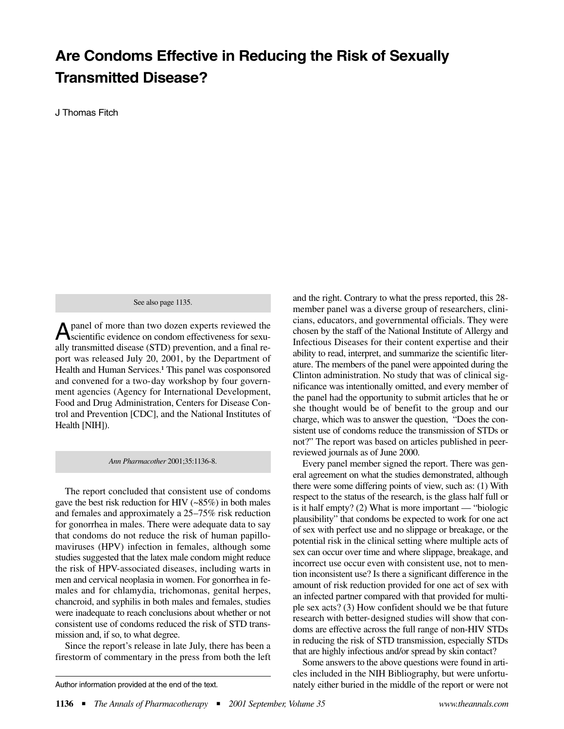# **Are Condoms Effective in Reducing the Risk of Sexually Transmitted Disease?**

J Thomas Fitch

## See also page 1135.

Apanel of more than two dozen experts reviewed the scientific evidence on condom effectiveness for sexually transmitted disease (STD) prevention, and a final report was released July 20, 2001, by the Department of Health and Human Services.**<sup>1</sup>** This panel was cosponsored and convened for a two-day workshop by four government agencies (Agency for International Development, Food and Drug Administration, Centers for Disease Control and Prevention [CDC], and the National Institutes of Health [NIH]).

#### *Ann Pharmacother* 2001;35:1136-8.

The report concluded that consistent use of condoms gave the best risk reduction for HIV (~85%) in both males and females and approximately a 25–75% risk reduction for gonorrhea in males. There were adequate data to say that condoms do not reduce the risk of human papillomaviruses (HPV) infection in females, although some studies suggested that the latex male condom might reduce the risk of HPV-associated diseases, including warts in men and cervical neoplasia in women. For gonorrhea in females and for chlamydia, trichomonas, genital herpes, chancroid, and syphilis in both males and females, studies were inadequate to reach conclusions about whether or not consistent use of condoms reduced the risk of STD transmission and, if so, to what degree.

Since the report's release in late July, there has been a firestorm of commentary in the press from both the left

Author information provided at the end of the text.

and the right. Contrary to what the press reported, this 28 member panel was a diverse group of researchers, clinicians, educators, and governmental officials. They were chosen by the staff of the National Institute of Allergy and Infectious Diseases for their content expertise and their ability to read, interpret, and summarize the scientific literature. The members of the panel were appointed during the Clinton administration. No study that was of clinical significance was intentionally omitted, and every member of the panel had the opportunity to submit articles that he or she thought would be of benefit to the group and our charge, which was to answer the question, "Does the consistent use of condoms reduce the transmission of STDs or not?" The report was based on articles published in peerreviewed journals as of June 2000.

Every panel member signed the report. There was general agreement on what the studies demonstrated, although there were some differing points of view, such as: (1) With respect to the status of the research, is the glass half full or is it half empty? (2) What is more important — "biologic plausibility" that condoms be expected to work for one act of sex with perfect use and no slippage or breakage, or the potential risk in the clinical setting where multiple acts of sex can occur over time and where slippage, breakage, and incorrect use occur even with consistent use, not to mention inconsistent use? Is there a significant difference in the amount of risk reduction provided for one act of sex with an infected partner compared with that provided for multiple sex acts? (3) How confident should we be that future research with better-designed studies will show that condoms are effective across the full range of non-HIV STDs in reducing the risk of STD transmission, especially STDs that are highly infectious and/or spread by skin contact?

Some answers to the above questions were found in articles included in the NIH Bibliography, but were unfortunately either buried in the middle of the report or were not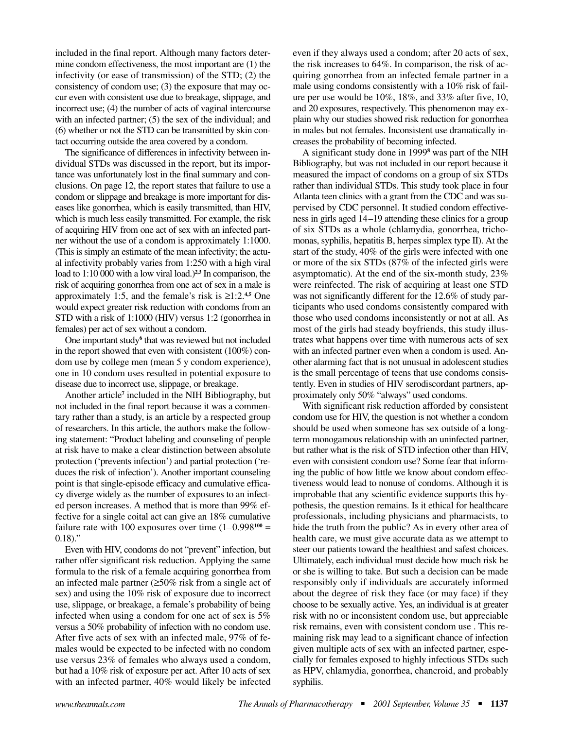included in the final report. Although many factors determine condom effectiveness, the most important are (1) the infectivity (or ease of transmission) of the STD; (2) the consistency of condom use; (3) the exposure that may occur even with consistent use due to breakage, slippage, and incorrect use; (4) the number of acts of vaginal intercourse with an infected partner; (5) the sex of the individual; and (6) whether or not the STD can be transmitted by skin contact occurring outside the area covered by a condom.

The significance of differences in infectivity between individual STDs was discussed in the report, but its importance was unfortunately lost in the final summary and conclusions. On page 12, the report states that failure to use a condom or slippage and breakage is more important for diseases like gonorrhea, which is easily transmitted, than HIV, which is much less easily transmitted. For example, the risk of acquiring HIV from one act of sex with an infected partner without the use of a condom is approximately 1:1000. (This is simply an estimate of the mean infectivity; the actual infectivity probably varies from 1:250 with a high viral load to 1:10 000 with a low viral load.)**2,3** In comparison, the risk of acquiring gonorrhea from one act of sex in a male is approximately 1:5, and the female's risk is ≥1:2.**4,5** One would expect greater risk reduction with condoms from an STD with a risk of 1:1000 (HIV) versus 1:2 (gonorrhea in females) per act of sex without a condom.

One important study**<sup>6</sup>** that was reviewed but not included in the report showed that even with consistent (100%) condom use by college men (mean 5 y condom experience), one in 10 condom uses resulted in potential exposure to disease due to incorrect use, slippage, or breakage.

Another article**<sup>7</sup>** included in the NIH Bibliography, but not included in the final report because it was a commentary rather than a study, is an article by a respected group of researchers. In this article, the authors make the following statement: "Product labeling and counseling of people at risk have to make a clear distinction between absolute protection ('prevents infection') and partial protection ('reduces the risk of infection'). Another important counseling point is that single-episode efficacy and cumulative efficacy diverge widely as the number of exposures to an infected person increases. A method that is more than 99% effective for a single coital act can give an 18% cumulative failure rate with 100 exposures over time  $(1-0.998^{100})$  =  $0.18$ )."

Even with HIV, condoms do not "prevent" infection, but rather offer significant risk reduction. Applying the same formula to the risk of a female acquiring gonorrhea from an infected male partner (≥50% risk from a single act of sex) and using the 10% risk of exposure due to incorrect use, slippage, or breakage, a female's probability of being infected when using a condom for one act of sex is 5% versus a 50% probability of infection with no condom use. After five acts of sex with an infected male, 97% of females would be expected to be infected with no condom use versus 23% of females who always used a condom, but had a 10% risk of exposure per act. After 10 acts of sex with an infected partner, 40% would likely be infected

even if they always used a condom; after 20 acts of sex, the risk increases to 64%. In comparison, the risk of acquiring gonorrhea from an infected female partner in a male using condoms consistently with a 10% risk of failure per use would be 10%, 18%, and 33% after five, 10, and 20 exposures, respectively. This phenomenon may explain why our studies showed risk reduction for gonorrhea in males but not females. Inconsistent use dramatically increases the probability of becoming infected.

A significant study done in 1999**<sup>8</sup>** was part of the NIH Bibliography, but was not included in our report because it measured the impact of condoms on a group of six STDs rather than individual STDs. This study took place in four Atlanta teen clinics with a grant from the CDC and was supervised by CDC personnel. It studied condom effectiveness in girls aged 14–19 attending these clinics for a group of six STDs as a whole (chlamydia, gonorrhea, trichomonas, syphilis, hepatitis B, herpes simplex type II). At the start of the study, 40% of the girls were infected with one or more of the six STDs (87% of the infected girls were asymptomatic). At the end of the six-month study, 23% were reinfected. The risk of acquiring at least one STD was not significantly different for the 12.6% of study participants who used condoms consistently compared with those who used condoms inconsistently or not at all. As most of the girls had steady boyfriends, this study illustrates what happens over time with numerous acts of sex with an infected partner even when a condom is used. Another alarming fact that is not unusual in adolescent studies is the small percentage of teens that use condoms consistently. Even in studies of HIV serodiscordant partners, approximately only 50% "always" used condoms.

With significant risk reduction afforded by consistent condom use for HIV, the question is not whether a condom should be used when someone has sex outside of a longterm monogamous relationship with an uninfected partner, but rather what is the risk of STD infection other than HIV, even with consistent condom use? Some fear that informing the public of how little we know about condom effectiveness would lead to nonuse of condoms. Although it is improbable that any scientific evidence supports this hypothesis, the question remains. Is it ethical for healthcare professionals, including physicians and pharmacists, to hide the truth from the public? As in every other area of health care, we must give accurate data as we attempt to steer our patients toward the healthiest and safest choices. Ultimately, each individual must decide how much risk he or she is willing to take. But such a decision can be made responsibly only if individuals are accurately informed about the degree of risk they face (or may face) if they choose to be sexually active. Yes, an individual is at greater risk with no or inconsistent condom use, but appreciable risk remains, even with consistent condom use . This remaining risk may lead to a significant chance of infection given multiple acts of sex with an infected partner, especially for females exposed to highly infectious STDs such as HPV, chlamydia, gonorrhea, chancroid, and probably syphilis.